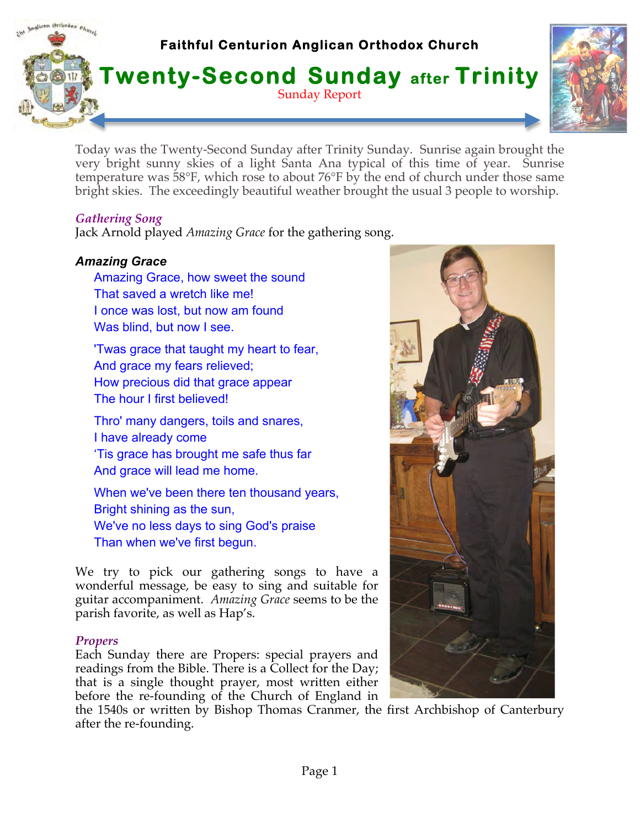

Today was the Twenty-Second Sunday after Trinity Sunday. Sunrise again brought the very bright sunny skies of a light Santa Ana typical of this time of year. Sunrise temperature was 58°F, which rose to about 76°F by the end of church under those same bright skies. The exceedingly beautiful weather brought the usual 3 people to worship.

### *Gathering Song*

Jack Arnold played *Amazing Grace* for the gathering song.

### *Amazing Grace*

Amazing Grace, how sweet the sound That saved a wretch like me! I once was lost, but now am found Was blind, but now I see.

'Twas grace that taught my heart to fear, And grace my fears relieved; How precious did that grace appear The hour I first believed!

Thro' many dangers, toils and snares, I have already come 'Tis grace has brought me safe thus far And grace will lead me home.

When we've been there ten thousand years, Bright shining as the sun, We've no less days to sing God's praise Than when we've first begun.

We try to pick our gathering songs to have a wonderful message, be easy to sing and suitable for guitar accompaniment. *Amazing Grace* seems to be the parish favorite, as well as Hap's.

### *Propers*

Each Sunday there are Propers: special prayers and readings from the Bible. There is a Collect for the Day; that is a single thought prayer, most written either before the re-founding of the Church of England in

the 1540s or written by Bishop Thomas Cranmer, the first Archbishop of Canterbury after the re-founding.

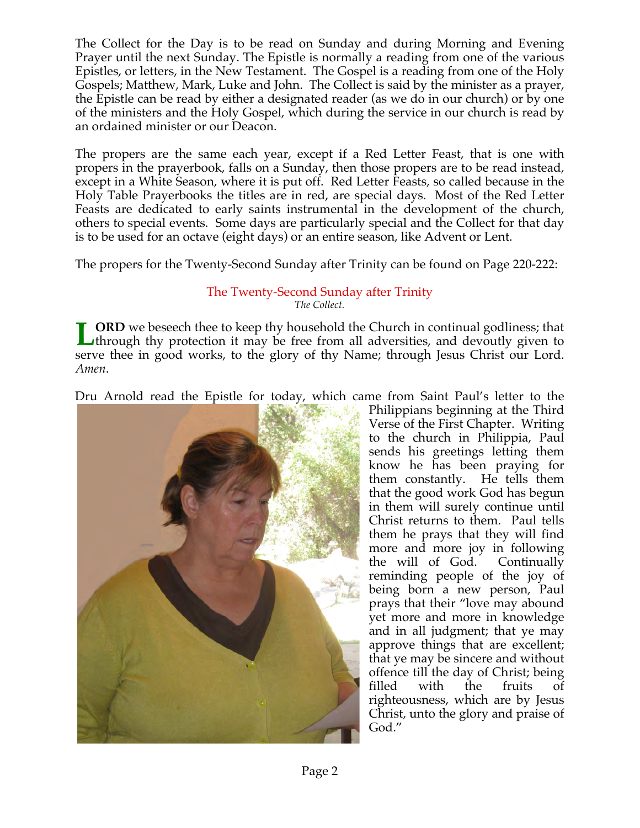The Collect for the Day is to be read on Sunday and during Morning and Evening Prayer until the next Sunday. The Epistle is normally a reading from one of the various Epistles, or letters, in the New Testament. The Gospel is a reading from one of the Holy Gospels; Matthew, Mark, Luke and John. The Collect is said by the minister as a prayer, the Epistle can be read by either a designated reader (as we do in our church) or by one of the ministers and the Holy Gospel, which during the service in our church is read by an ordained minister or our Deacon.

The propers are the same each year, except if a Red Letter Feast, that is one with propers in the prayerbook, falls on a Sunday, then those propers are to be read instead, except in a White Season, where it is put off. Red Letter Feasts, so called because in the Holy Table Prayerbooks the titles are in red, are special days. Most of the Red Letter Feasts are dedicated to early saints instrumental in the development of the church, others to special events. Some days are particularly special and the Collect for that day is to be used for an octave (eight days) or an entire season, like Advent or Lent.

The propers for the Twenty-Second Sunday after Trinity can be found on Page 220-222:

#### The Twenty-Second Sunday after Trinity *The Collect.*

**ORD** we beseech thee to keep thy household the Church in continual godliness; that Ithrough thy protection it may be free from all adversities, and devoutly given to serve thee in good works, to the glory of thy Name; through Jesus Christ our Lord. *Amen*. **L**

Dru Arnold read the Epistle for today, which came from Saint Paul's letter to the



Philippians beginning at the Third Verse of the First Chapter. Writing to the church in Philippia, Paul sends his greetings letting them know he has been praying for them constantly. He tells them that the good work God has begun in them will surely continue until Christ returns to them. Paul tells them he prays that they will find more and more joy in following the will of God. Continually reminding people of the joy of being born a new person, Paul prays that their "love may abound yet more and more in knowledge and in all judgment; that ye may approve things that are excellent; that ye may be sincere and without offence till the day of Christ; being filled with the fruits of righteousness, which are by Jesus Christ, unto the glory and praise of God."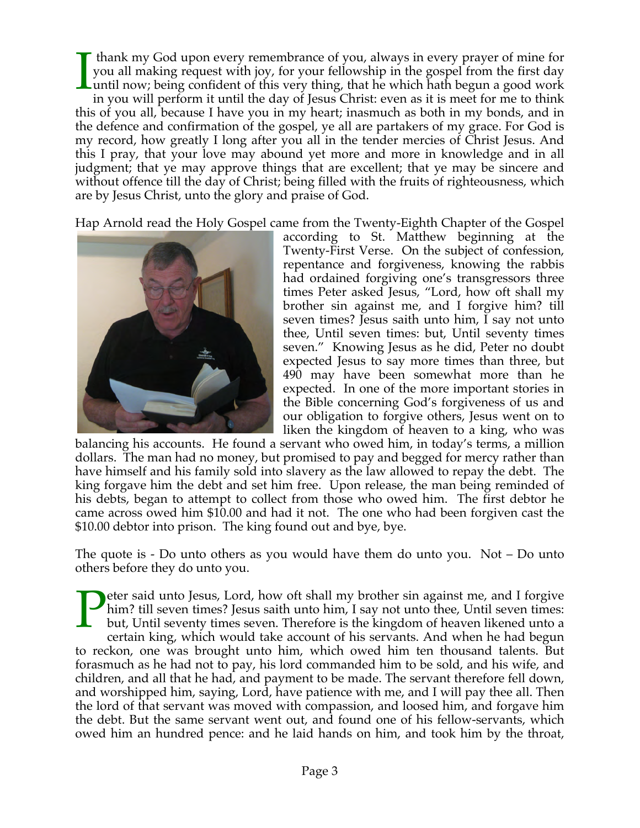thank my God upon every remembrance of you, always in every prayer of mine for you all making request with joy, for your fellowship in the gospel from the first day until now; being confident of this very thing, that he which hath begun a good work in you will perform it until the day of Jesus Christ: even as it is meet for me to think this of you all, because I have you in my heart; inasmuch as both in my bonds, and in the defence and confirmation of the gospel, ye all are partakers of my grace. For God is my record, how greatly I long after you all in the tender mercies of Christ Jesus. And this I pray, that your love may abound yet more and more in knowledge and in all judgment; that ye may approve things that are excellent; that ye may be sincere and without offence till the day of Christ; being filled with the fruits of righteousness, which are by Jesus Christ, unto the glory and praise of God. I

Hap Arnold read the Holy Gospel came from the Twenty-Eighth Chapter of the Gospel



according to St. Matthew beginning at the Twenty-First Verse. On the subject of confession, repentance and forgiveness, knowing the rabbis had ordained forgiving one's transgressors three times Peter asked Jesus, "Lord, how oft shall my brother sin against me, and I forgive him? till seven times? Jesus saith unto him, I say not unto thee, Until seven times: but, Until seventy times seven." Knowing Jesus as he did, Peter no doubt expected Jesus to say more times than three, but 490 may have been somewhat more than he expected. In one of the more important stories in the Bible concerning God's forgiveness of us and our obligation to forgive others, Jesus went on to liken the kingdom of heaven to a king, who was

balancing his accounts. He found a servant who owed him, in today's terms, a million dollars. The man had no money, but promised to pay and begged for mercy rather than have himself and his family sold into slavery as the law allowed to repay the debt. The king forgave him the debt and set him free. Upon release, the man being reminded of his debts, began to attempt to collect from those who owed him. The first debtor he came across owed him \$10.00 and had it not. The one who had been forgiven cast the \$10.00 debtor into prison. The king found out and bye, bye.

The quote is - Do unto others as you would have them do unto you. Not – Do unto others before they do unto you.

eter said unto Jesus, Lord, how oft shall my brother sin against me, and I forgive him? till seven times? Jesus saith unto him, I say not unto thee, Until seven times: but, Until seventy times seven. Therefore is the kingdom of heaven likened unto a certain king, which would take account of his servants. And when he had begun to reckon, one was brought unto him, which owed him ten thousand talents. But forasmuch as he had not to pay, his lord commanded him to be sold, and his wife, and children, and all that he had, and payment to be made. The servant therefore fell down, and worshipped him, saying, Lord, have patience with me, and I will pay thee all. Then the lord of that servant was moved with compassion, and loosed him, and forgave him the debt. But the same servant went out, and found one of his fellow-servants, which owed him an hundred pence: and he laid hands on him, and took him by the throat, P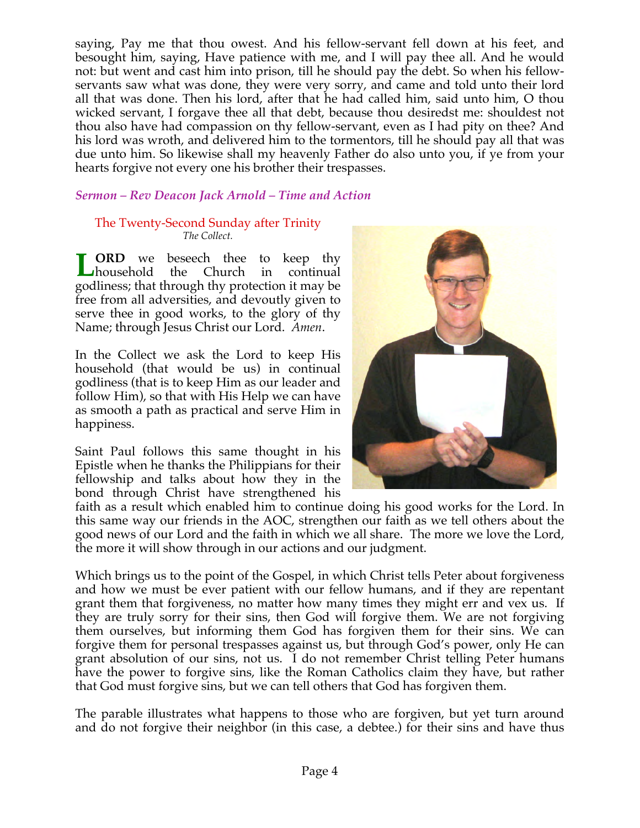saying, Pay me that thou owest. And his fellow-servant fell down at his feet, and besought him, saying, Have patience with me, and I will pay thee all. And he would not: but went and cast him into prison, till he should pay the debt. So when his fellowservants saw what was done, they were very sorry, and came and told unto their lord all that was done. Then his lord, after that he had called him, said unto him, O thou wicked servant, I forgave thee all that debt, because thou desiredst me: shouldest not thou also have had compassion on thy fellow-servant, even as I had pity on thee? And his lord was wroth, and delivered him to the tormentors, till he should pay all that was due unto him. So likewise shall my heavenly Father do also unto you, if ye from your hearts forgive not every one his brother their trespasses.

# *Sermon – Rev Deacon Jack Arnold – Time and Action*

#### The Twenty-Second Sunday after Trinity *The Collect.*

**ORD** we beseech thee to keep thy household the Church in continual household the Church in continual godliness; that through thy protection it may be free from all adversities, and devoutly given to serve thee in good works, to the glory of thy Name; through Jesus Christ our Lord. *Amen*. **L**

In the Collect we ask the Lord to keep His household (that would be us) in continual godliness (that is to keep Him as our leader and follow Him), so that with His Help we can have as smooth a path as practical and serve Him in happiness.

Saint Paul follows this same thought in his Epistle when he thanks the Philippians for their fellowship and talks about how they in the bond through Christ have strengthened his



faith as a result which enabled him to continue doing his good works for the Lord. In this same way our friends in the AOC, strengthen our faith as we tell others about the good news of our Lord and the faith in which we all share. The more we love the Lord, the more it will show through in our actions and our judgment.

Which brings us to the point of the Gospel, in which Christ tells Peter about forgiveness and how we must be ever patient with our fellow humans, and if they are repentant grant them that forgiveness, no matter how many times they might err and vex us. If they are truly sorry for their sins, then God will forgive them. We are not forgiving them ourselves, but informing them God has forgiven them for their sins. We can forgive them for personal trespasses against us, but through God's power, only He can grant absolution of our sins, not us. I do not remember Christ telling Peter humans have the power to forgive sins, like the Roman Catholics claim they have, but rather that God must forgive sins, but we can tell others that God has forgiven them.

The parable illustrates what happens to those who are forgiven, but yet turn around and do not forgive their neighbor (in this case, a debtee.) for their sins and have thus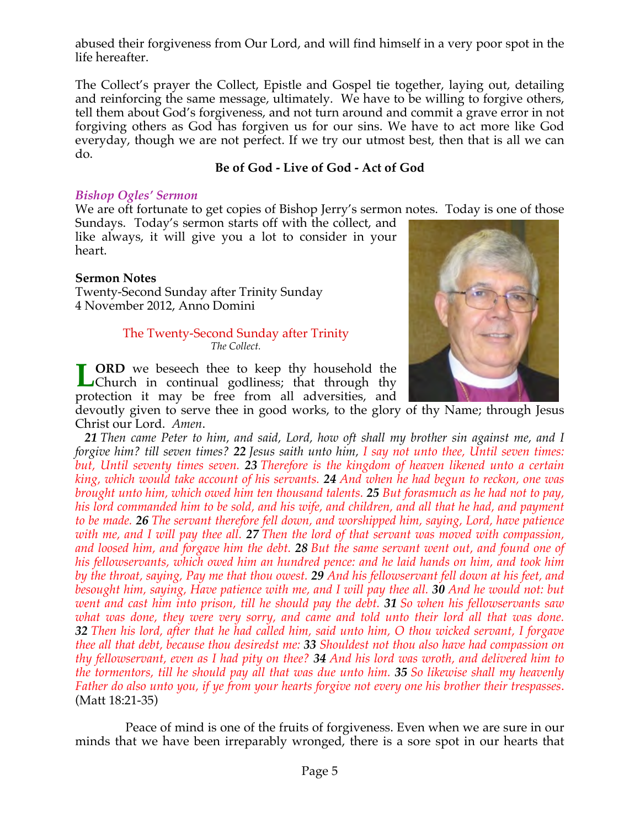abused their forgiveness from Our Lord, and will find himself in a very poor spot in the life hereafter.

The Collect's prayer the Collect, Epistle and Gospel tie together, laying out, detailing and reinforcing the same message, ultimately. We have to be willing to forgive others, tell them about God's forgiveness, and not turn around and commit a grave error in not forgiving others as God has forgiven us for our sins. We have to act more like God everyday, though we are not perfect. If we try our utmost best, then that is all we can do.

### **Be of God - Live of God - Act of God**

#### *Bishop Ogles' Sermon*

We are oft fortunate to get copies of Bishop Jerry's sermon notes. Today is one of those

Sundays. Today's sermon starts off with the collect, and like always, it will give you a lot to consider in your heart.

#### **Sermon Notes**

Twenty-Second Sunday after Trinity Sunday 4 November 2012, Anno Domini

#### The Twenty-Second Sunday after Trinity *The Collect.*

**ORD** we beseech thee to keep thy household the **LORD** we beseech thee to keep thy household the Church in continual godliness; that through thy protection it may be free from all adversities, and



devoutly given to serve thee in good works, to the glory of thy Name; through Jesus Christ our Lord. *Amen*.

 *21 Then came Peter to him, and said, Lord, how oft shall my brother sin against me, and I forgive him? till seven times? 22 Jesus saith unto him, I say not unto thee, Until seven times: but, Until seventy times seven. 23 Therefore is the kingdom of heaven likened unto a certain king, which would take account of his servants. 24 And when he had begun to reckon, one was brought unto him, which owed him ten thousand talents. 25 But forasmuch as he had not to pay, his lord commanded him to be sold, and his wife, and children, and all that he had, and payment to be made. 26 The servant therefore fell down, and worshipped him, saying, Lord, have patience with me, and I will pay thee all. 27 Then the lord of that servant was moved with compassion, and loosed him, and forgave him the debt. 28 But the same servant went out, and found one of his fellowservants, which owed him an hundred pence: and he laid hands on him, and took him by the throat, saying, Pay me that thou owest. 29 And his fellowservant fell down at his feet, and besought him, saying, Have patience with me, and I will pay thee all. 30 And he would not: but went and cast him into prison, till he should pay the debt. 31 So when his fellowservants saw what was done, they were very sorry, and came and told unto their lord all that was done. 32 Then his lord, after that he had called him, said unto him, O thou wicked servant, I forgave thee all that debt, because thou desiredst me: 33 Shouldest not thou also have had compassion on thy fellowservant, even as I had pity on thee? 34 And his lord was wroth, and delivered him to the tormentors, till he should pay all that was due unto him. 35 So likewise shall my heavenly Father do also unto you, if ye from your hearts forgive not every one his brother their trespasses*. (Matt 18:21-35)

Peace of mind is one of the fruits of forgiveness. Even when we are sure in our minds that we have been irreparably wronged, there is a sore spot in our hearts that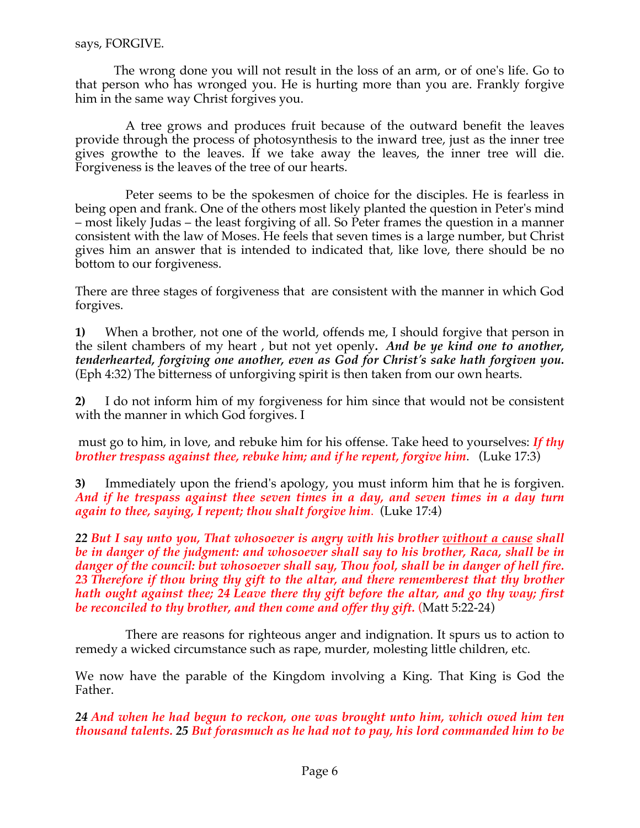The wrong done you will not result in the loss of an arm, or of one's life. Go to that person who has wronged you. He is hurting more than you are. Frankly forgive him in the same way Christ forgives you.

A tree grows and produces fruit because of the outward benefit the leaves provide through the process of photosynthesis to the inward tree, just as the inner tree gives growthe to the leaves. If we take away the leaves, the inner tree will die. Forgiveness is the leaves of the tree of our hearts.

Peter seems to be the spokesmen of choice for the disciples. He is fearless in being open and frank. One of the others most likely planted the question in Peter's mind – most likely Judas – the least forgiving of all. So Peter frames the question in a manner consistent with the law of Moses. He feels that seven times is a large number, but Christ gives him an answer that is intended to indicated that, like love, there should be no bottom to our forgiveness.

There are three stages of forgiveness that are consistent with the manner in which God forgives.

**1)** When a brother, not one of the world, offends me, I should forgive that person in the silent chambers of my heart , but not yet openly*. And be ye kind one to another, tenderhearted, forgiving one another, even as God for Christ's sake hath forgiven you.* (Eph 4:32) The bitterness of unforgiving spirit is then taken from our own hearts.

**2)** I do not inform him of my forgiveness for him since that would not be consistent with the manner in which God forgives. I

must go to him, in love, and rebuke him for his offense. Take heed to yourselves: *If thy brother trespass against thee, rebuke him; and if he repent, forgive him*. (Luke 17:3)

**3)** Immediately upon the friend's apology, you must inform him that he is forgiven. *And if he trespass against thee seven times in a day, and seven times in a day turn again to thee, saying, I repent; thou shalt forgive him*. (Luke 17:4)

*22 But I say unto you, That whosoever is angry with his brother without a cause shall be in danger of the judgment: and whosoever shall say to his brother, Raca, shall be in danger of the council: but whosoever shall say, Thou fool, shall be in danger of hell fire. 23 Therefore if thou bring thy gift to the altar, and there rememberest that thy brother hath ought against thee; 24 Leave there thy gift before the altar, and go thy way; first be reconciled to thy brother, and then come and offer thy gift.* (Matt 5:22-24)

There are reasons for righteous anger and indignation. It spurs us to action to remedy a wicked circumstance such as rape, murder, molesting little children, etc.

We now have the parable of the Kingdom involving a King. That King is God the Father.

*24 And when he had begun to reckon, one was brought unto him, which owed him ten thousand talents. 25 But forasmuch as he had not to pay, his lord commanded him to be*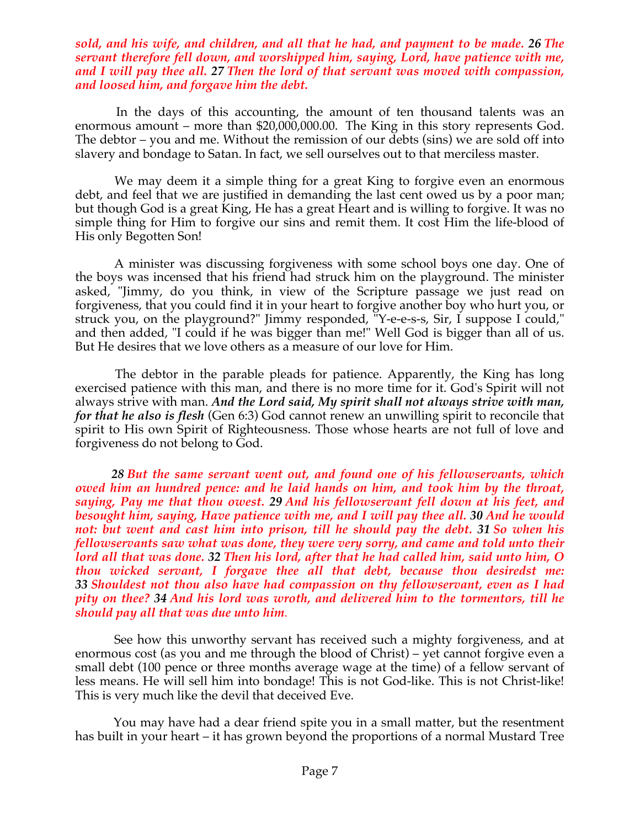#### *sold, and his wife, and children, and all that he had, and payment to be made. 26 The servant therefore fell down, and worshipped him, saying, Lord, have patience with me, and I will pay thee all. 27 Then the lord of that servant was moved with compassion, and loosed him, and forgave him the debt.*

 In the days of this accounting, the amount of ten thousand talents was an enormous amount – more than \$20,000,000.00. The King in this story represents God. The debtor – you and me. Without the remission of our debts (sins) we are sold off into slavery and bondage to Satan. In fact, we sell ourselves out to that merciless master.

 We may deem it a simple thing for a great King to forgive even an enormous debt, and feel that we are justified in demanding the last cent owed us by a poor man; but though God is a great King, He has a great Heart and is willing to forgive. It was no simple thing for Him to forgive our sins and remit them. It cost Him the life-blood of His only Begotten Son!

 A minister was discussing forgiveness with some school boys one day. One of the boys was incensed that his friend had struck him on the playground. The minister asked, "Jimmy, do you think, in view of the Scripture passage we just read on forgiveness, that you could find it in your heart to forgive another boy who hurt you, or struck you, on the playground?" Jimmy responded, "Y-e-e-s-s, Sir, I suppose I could," and then added, "I could if he was bigger than me!" Well God is bigger than all of us. But He desires that we love others as a measure of our love for Him.

The debtor in the parable pleads for patience. Apparently, the King has long exercised patience with this man, and there is no more time for it. God's Spirit will not always strive with man. *And the Lord said, My spirit shall not always strive with man, for that he also is flesh* (Gen 6:3) God cannot renew an unwilling spirit to reconcile that spirit to His own Spirit of Righteousness. Those whose hearts are not full of love and forgiveness do not belong to God.

 *28 But the same servant went out, and found one of his fellowservants, which owed him an hundred pence: and he laid hands on him, and took him by the throat, saying, Pay me that thou owest. 29 And his fellowservant fell down at his feet, and besought him, saying, Have patience with me, and I will pay thee all. 30 And he would not: but went and cast him into prison, till he should pay the debt. 31 So when his fellowservants saw what was done, they were very sorry, and came and told unto their lord all that was done. 32 Then his lord, after that he had called him, said unto him, O thou wicked servant, I forgave thee all that debt, because thou desiredst me: 33 Shouldest not thou also have had compassion on thy fellowservant, even as I had pity on thee? 34 And his lord was wroth, and delivered him to the tormentors, till he should pay all that was due unto him.*

 See how this unworthy servant has received such a mighty forgiveness, and at enormous cost (as you and me through the blood of Christ) – yet cannot forgive even a small debt (100 pence or three months average wage at the time) of a fellow servant of less means. He will sell him into bondage! This is not God-like. This is not Christ-like! This is very much like the devil that deceived Eve.

 You may have had a dear friend spite you in a small matter, but the resentment has built in your heart – it has grown beyond the proportions of a normal Mustard Tree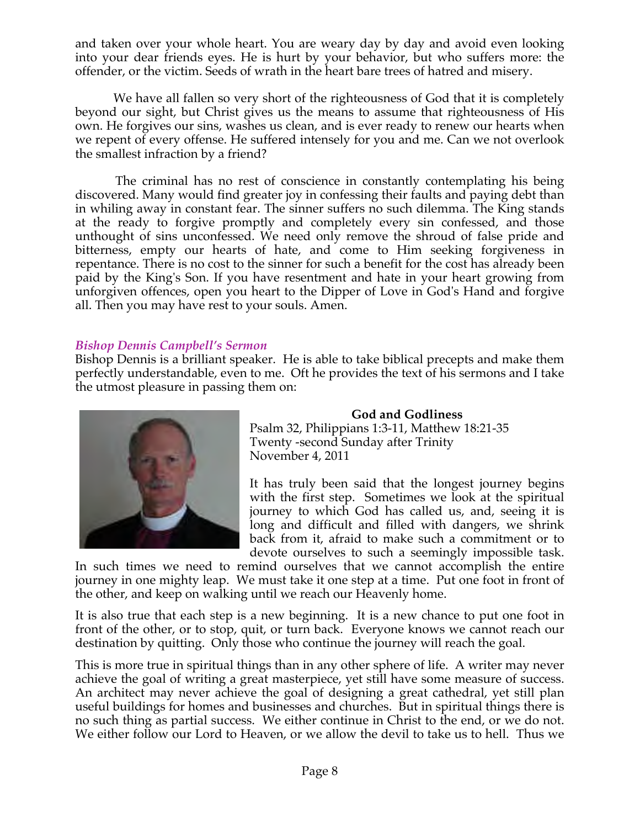and taken over your whole heart. You are weary day by day and avoid even looking into your dear friends eyes. He is hurt by your behavior, but who suffers more: the offender, or the victim. Seeds of wrath in the heart bare trees of hatred and misery.

 We have all fallen so very short of the righteousness of God that it is completely beyond our sight, but Christ gives us the means to assume that righteousness of His own. He forgives our sins, washes us clean, and is ever ready to renew our hearts when we repent of every offense. He suffered intensely for you and me. Can we not overlook the smallest infraction by a friend?

 The criminal has no rest of conscience in constantly contemplating his being discovered. Many would find greater joy in confessing their faults and paying debt than in whiling away in constant fear. The sinner suffers no such dilemma. The King stands at the ready to forgive promptly and completely every sin confessed, and those unthought of sins unconfessed. We need only remove the shroud of false pride and bitterness, empty our hearts of hate, and come to Him seeking forgiveness in repentance. There is no cost to the sinner for such a benefit for the cost has already been paid by the King's Son. If you have resentment and hate in your heart growing from unforgiven offences, open you heart to the Dipper of Love in God's Hand and forgive all. Then you may have rest to your souls. Amen.

#### *Bishop Dennis Campbell's Sermon*

Bishop Dennis is a brilliant speaker. He is able to take biblical precepts and make them perfectly understandable, even to me. Oft he provides the text of his sermons and I take the utmost pleasure in passing them on:



**God and Godliness** Psalm 32, Philippians 1:3-11, Matthew 18:21-35 Twenty -second Sunday after Trinity November 4, 2011

It has truly been said that the longest journey begins with the first step. Sometimes we look at the spiritual journey to which God has called us, and, seeing it is long and difficult and filled with dangers, we shrink back from it, afraid to make such a commitment or to devote ourselves to such a seemingly impossible task.

In such times we need to remind ourselves that we cannot accomplish the entire journey in one mighty leap. We must take it one step at a time. Put one foot in front of the other, and keep on walking until we reach our Heavenly home.

It is also true that each step is a new beginning. It is a new chance to put one foot in front of the other, or to stop, quit, or turn back. Everyone knows we cannot reach our destination by quitting. Only those who continue the journey will reach the goal.

This is more true in spiritual things than in any other sphere of life. A writer may never achieve the goal of writing a great masterpiece, yet still have some measure of success. An architect may never achieve the goal of designing a great cathedral, yet still plan useful buildings for homes and businesses and churches. But in spiritual things there is no such thing as partial success. We either continue in Christ to the end, or we do not. We either follow our Lord to Heaven, or we allow the devil to take us to hell. Thus we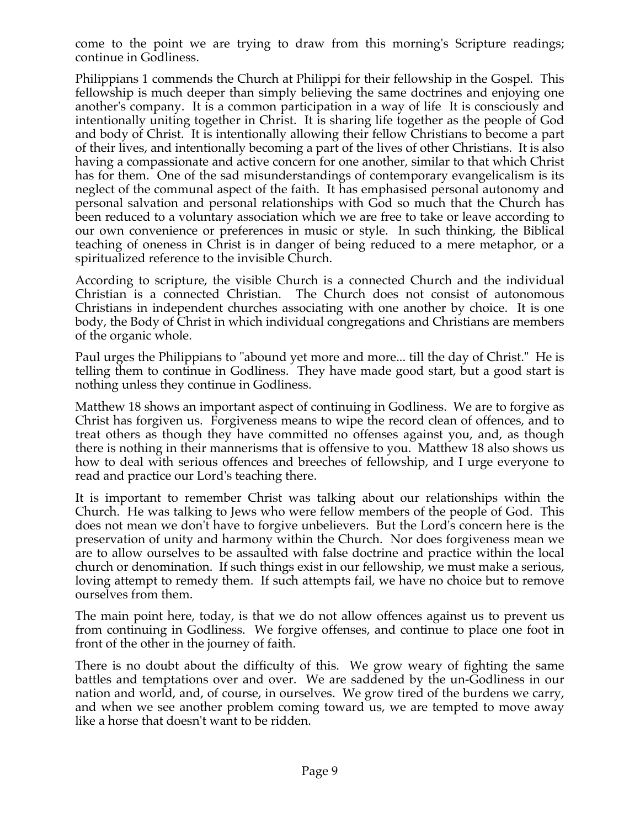come to the point we are trying to draw from this morning's Scripture readings; continue in Godliness.

Philippians 1 commends the Church at Philippi for their fellowship in the Gospel. This fellowship is much deeper than simply believing the same doctrines and enjoying one another's company. It is a common participation in a way of life It is consciously and intentionally uniting together in Christ. It is sharing life together as the people of God and body of Christ. It is intentionally allowing their fellow Christians to become a part of their lives, and intentionally becoming a part of the lives of other Christians. It is also having a compassionate and active concern for one another, similar to that which Christ has for them. One of the sad misunderstandings of contemporary evangelicalism is its neglect of the communal aspect of the faith. It has emphasised personal autonomy and personal salvation and personal relationships with God so much that the Church has been reduced to a voluntary association which we are free to take or leave according to our own convenience or preferences in music or style. In such thinking, the Biblical teaching of oneness in Christ is in danger of being reduced to a mere metaphor, or a spiritualized reference to the invisible Church.

According to scripture, the visible Church is a connected Church and the individual Christian is a connected Christian. The Church does not consist of autonomous Christians in independent churches associating with one another by choice. It is one body, the Body of Christ in which individual congregations and Christians are members of the organic whole.

Paul urges the Philippians to "abound yet more and more... till the day of Christ." He is telling them to continue in Godliness. They have made good start, but a good start is nothing unless they continue in Godliness.

Matthew 18 shows an important aspect of continuing in Godliness. We are to forgive as Christ has forgiven us. Forgiveness means to wipe the record clean of offences, and to treat others as though they have committed no offenses against you, and, as though there is nothing in their mannerisms that is offensive to you. Matthew 18 also shows us how to deal with serious offences and breeches of fellowship, and I urge everyone to read and practice our Lord's teaching there.

It is important to remember Christ was talking about our relationships within the Church. He was talking to Jews who were fellow members of the people of God. This does not mean we don't have to forgive unbelievers. But the Lord's concern here is the preservation of unity and harmony within the Church. Nor does forgiveness mean we are to allow ourselves to be assaulted with false doctrine and practice within the local church or denomination. If such things exist in our fellowship, we must make a serious, loving attempt to remedy them. If such attempts fail, we have no choice but to remove ourselves from them.

The main point here, today, is that we do not allow offences against us to prevent us from continuing in Godliness. We forgive offenses, and continue to place one foot in front of the other in the journey of faith.

There is no doubt about the difficulty of this. We grow weary of fighting the same battles and temptations over and over. We are saddened by the un-Godliness in our nation and world, and, of course, in ourselves. We grow tired of the burdens we carry, and when we see another problem coming toward us, we are tempted to move away like a horse that doesn't want to be ridden.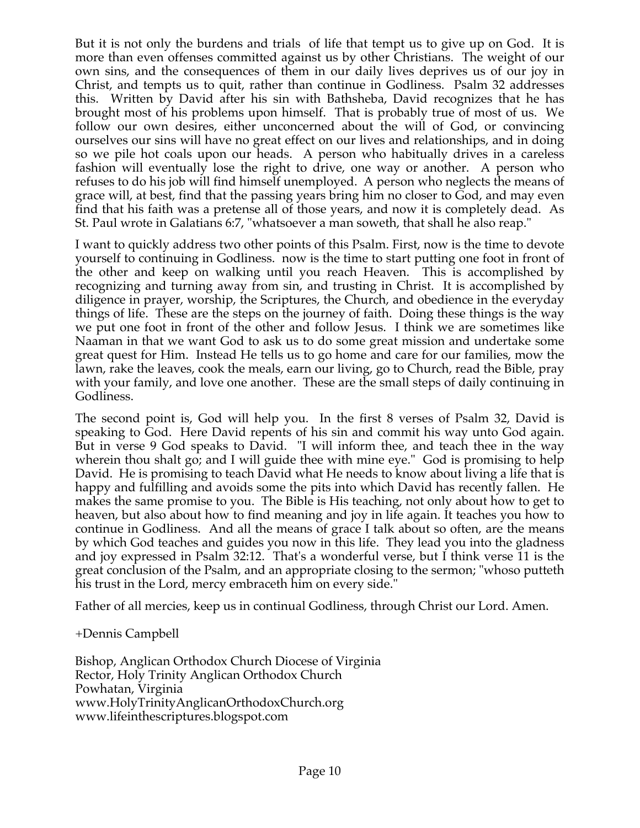But it is not only the burdens and trials of life that tempt us to give up on God. It is more than even offenses committed against us by other Christians. The weight of our own sins, and the consequences of them in our daily lives deprives us of our joy in Christ, and tempts us to quit, rather than continue in Godliness. Psalm 32 addresses this. Written by David after his sin with Bathsheba, David recognizes that he has brought most of his problems upon himself. That is probably true of most of us. We follow our own desires, either unconcerned about the will of God, or convincing ourselves our sins will have no great effect on our lives and relationships, and in doing so we pile hot coals upon our heads. A person who habitually drives in a careless fashion will eventually lose the right to drive, one way or another. A person who refuses to do his job will find himself unemployed. A person who neglects the means of grace will, at best, find that the passing years bring him no closer to God, and may even find that his faith was a pretense all of those years, and now it is completely dead. As St. Paul wrote in Galatians 6:7, "whatsoever a man soweth, that shall he also reap."

I want to quickly address two other points of this Psalm. First, now is the time to devote yourself to continuing in Godliness. now is the time to start putting one foot in front of the other and keep on walking until you reach Heaven. This is accomplished by recognizing and turning away from sin, and trusting in Christ. It is accomplished by diligence in prayer, worship, the Scriptures, the Church, and obedience in the everyday things of life. These are the steps on the journey of faith. Doing these things is the way we put one foot in front of the other and follow Jesus. I think we are sometimes like Naaman in that we want God to ask us to do some great mission and undertake some great quest for Him. Instead He tells us to go home and care for our families, mow the lawn, rake the leaves, cook the meals, earn our living, go to Church, read the Bible, pray with your family, and love one another. These are the small steps of daily continuing in Godliness.

The second point is, God will help you. In the first 8 verses of Psalm 32, David is speaking to God. Here David repents of his sin and commit his way unto God again. But in verse 9 God speaks to David. "I will inform thee, and teach thee in the way wherein thou shalt go; and I will guide thee with mine eye." God is promising to help David. He is promising to teach David what He needs to know about living a life that is happy and fulfilling and avoids some the pits into which David has recently fallen. He makes the same promise to you. The Bible is His teaching, not only about how to get to heaven, but also about how to find meaning and joy in life again. It teaches you how to continue in Godliness. And all the means of grace I talk about so often, are the means by which God teaches and guides you now in this life. They lead you into the gladness and joy expressed in Psalm 32:12. That's a wonderful verse, but I think verse 11 is the great conclusion of the Psalm, and an appropriate closing to the sermon; "whoso putteth his trust in the Lord, mercy embraceth him on every side."

Father of all mercies, keep us in continual Godliness, through Christ our Lord. Amen.

+Dennis Campbell

Bishop, Anglican Orthodox Church Diocese of Virginia Rector, Holy Trinity Anglican Orthodox Church Powhatan, Virginia www.HolyTrinityAnglicanOrthodoxChurch.org www.lifeinthescriptures.blogspot.com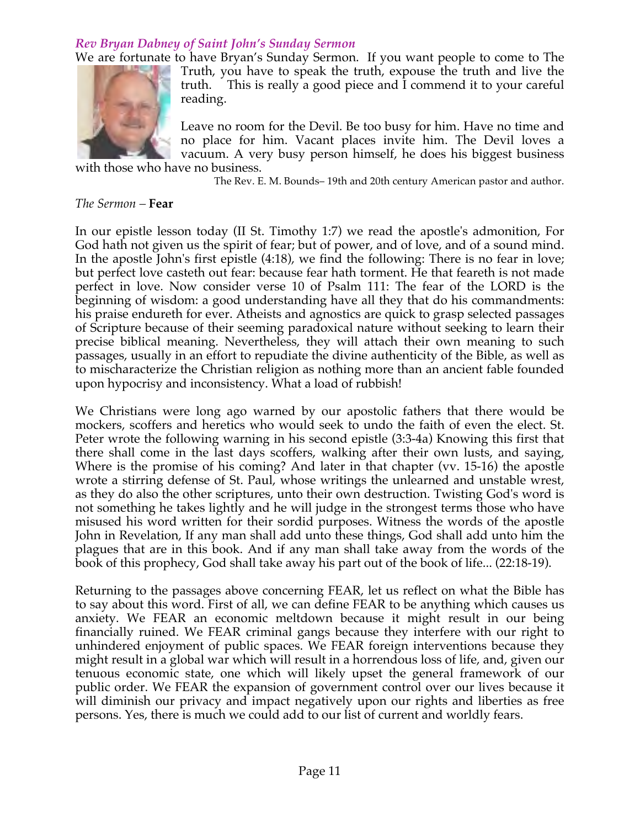# *Rev Bryan Dabney of Saint John's Sunday Sermon*

We are fortunate to have Bryan's Sunday Sermon. If you want people to come to The Truth, you have to speak the truth, expouse the truth and live the truth. This is really a good piece and I commend it to your careful reading.

> Leave no room for the Devil. Be too busy for him. Have no time and no place for him. Vacant places invite him. The Devil loves a vacuum. A very busy person himself, he does his biggest business

with those who have no business.

The Rev. E. M. Bounds– 19th and 20th century American pastor and author.

#### *The Sermon –* **Fear**

In our epistle lesson today (II St. Timothy 1:7) we read the apostle's admonition, For God hath not given us the spirit of fear; but of power, and of love, and of a sound mind. In the apostle John's first epistle (4:18), we find the following: There is no fear in love; but perfect love casteth out fear: because fear hath torment. He that feareth is not made perfect in love. Now consider verse 10 of Psalm 111: The fear of the LORD is the beginning of wisdom: a good understanding have all they that do his commandments: his praise endureth for ever. Atheists and agnostics are quick to grasp selected passages of Scripture because of their seeming paradoxical nature without seeking to learn their precise biblical meaning. Nevertheless, they will attach their own meaning to such passages, usually in an effort to repudiate the divine authenticity of the Bible, as well as to mischaracterize the Christian religion as nothing more than an ancient fable founded upon hypocrisy and inconsistency. What a load of rubbish!

We Christians were long ago warned by our apostolic fathers that there would be mockers, scoffers and heretics who would seek to undo the faith of even the elect. St. Peter wrote the following warning in his second epistle (3:3-4a) Knowing this first that there shall come in the last days scoffers, walking after their own lusts, and saying, Where is the promise of his coming? And later in that chapter (vv. 15-16) the apostle wrote a stirring defense of St. Paul, whose writings the unlearned and unstable wrest, as they do also the other scriptures, unto their own destruction. Twisting God's word is not something he takes lightly and he will judge in the strongest terms those who have misused his word written for their sordid purposes. Witness the words of the apostle John in Revelation, If any man shall add unto these things, God shall add unto him the plagues that are in this book. And if any man shall take away from the words of the book of this prophecy, God shall take away his part out of the book of life... (22:18-19).

Returning to the passages above concerning FEAR, let us reflect on what the Bible has to say about this word. First of all, we can define FEAR to be anything which causes us anxiety. We FEAR an economic meltdown because it might result in our being financially ruined. We FEAR criminal gangs because they interfere with our right to unhindered enjoyment of public spaces. We FEAR foreign interventions because they might result in a global war which will result in a horrendous loss of life, and, given our tenuous economic state, one which will likely upset the general framework of our public order. We FEAR the expansion of government control over our lives because it will diminish our privacy and impact negatively upon our rights and liberties as free persons. Yes, there is much we could add to our list of current and worldly fears.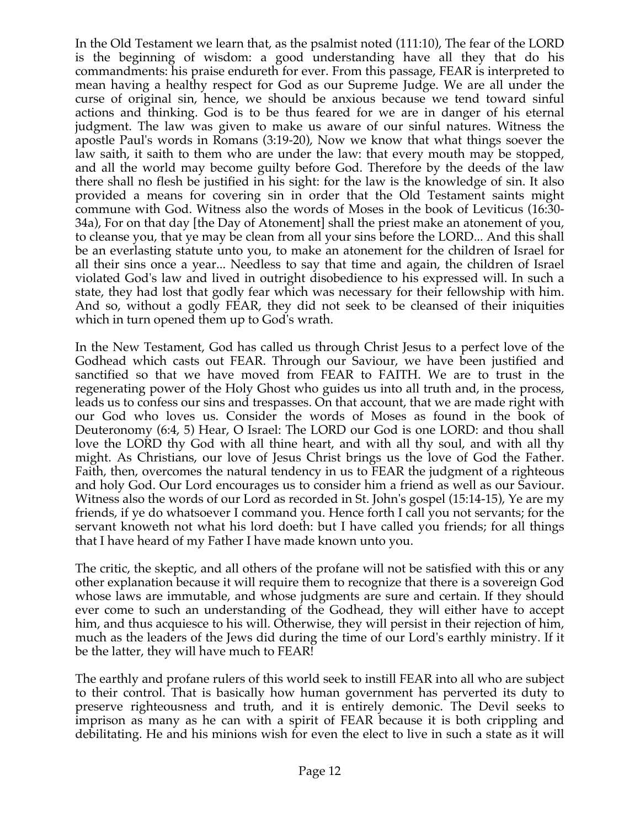In the Old Testament we learn that, as the psalmist noted (111:10), The fear of the LORD is the beginning of wisdom: a good understanding have all they that do his commandments: his praise endureth for ever. From this passage, FEAR is interpreted to mean having a healthy respect for God as our Supreme Judge. We are all under the curse of original sin, hence, we should be anxious because we tend toward sinful actions and thinking. God is to be thus feared for we are in danger of his eternal judgment. The law was given to make us aware of our sinful natures. Witness the apostle Paul's words in Romans (3:19-20), Now we know that what things soever the law saith, it saith to them who are under the law: that every mouth may be stopped, and all the world may become guilty before God. Therefore by the deeds of the law there shall no flesh be justified in his sight: for the law is the knowledge of sin. It also provided a means for covering sin in order that the Old Testament saints might commune with God. Witness also the words of Moses in the book of Leviticus (16:30- 34a), For on that day [the Day of Atonement] shall the priest make an atonement of you, to cleanse you, that ye may be clean from all your sins before the LORD... And this shall be an everlasting statute unto you, to make an atonement for the children of Israel for all their sins once a year... Needless to say that time and again, the children of Israel violated God's law and lived in outright disobedience to his expressed will. In such a state, they had lost that godly fear which was necessary for their fellowship with him. And so, without a godly FEAR, they did not seek to be cleansed of their iniquities which in turn opened them up to God's wrath.

In the New Testament, God has called us through Christ Jesus to a perfect love of the Godhead which casts out FEAR. Through our Saviour, we have been justified and sanctified so that we have moved from FEAR to FAITH. We are to trust in the regenerating power of the Holy Ghost who guides us into all truth and, in the process, leads us to confess our sins and trespasses. On that account, that we are made right with our God who loves us. Consider the words of Moses as found in the book of Deuteronomy (6:4, 5) Hear, O Israel: The LORD our God is one LORD: and thou shall love the LORD thy God with all thine heart, and with all thy soul, and with all thy might. As Christians, our love of Jesus Christ brings us the love of God the Father. Faith, then, overcomes the natural tendency in us to FEAR the judgment of a righteous and holy God. Our Lord encourages us to consider him a friend as well as our Saviour. Witness also the words of our Lord as recorded in St. John's gospel (15:14-15), Ye are my friends, if ye do whatsoever I command you. Hence forth I call you not servants; for the servant knoweth not what his lord doeth: but I have called you friends; for all things that I have heard of my Father I have made known unto you.

The critic, the skeptic, and all others of the profane will not be satisfied with this or any other explanation because it will require them to recognize that there is a sovereign God whose laws are immutable, and whose judgments are sure and certain. If they should ever come to such an understanding of the Godhead, they will either have to accept him, and thus acquiesce to his will. Otherwise, they will persist in their rejection of him, much as the leaders of the Jews did during the time of our Lord's earthly ministry. If it be the latter, they will have much to FEAR!

The earthly and profane rulers of this world seek to instill FEAR into all who are subject to their control. That is basically how human government has perverted its duty to preserve righteousness and truth, and it is entirely demonic. The Devil seeks to imprison as many as he can with a spirit of FEAR because it is both crippling and debilitating. He and his minions wish for even the elect to live in such a state as it will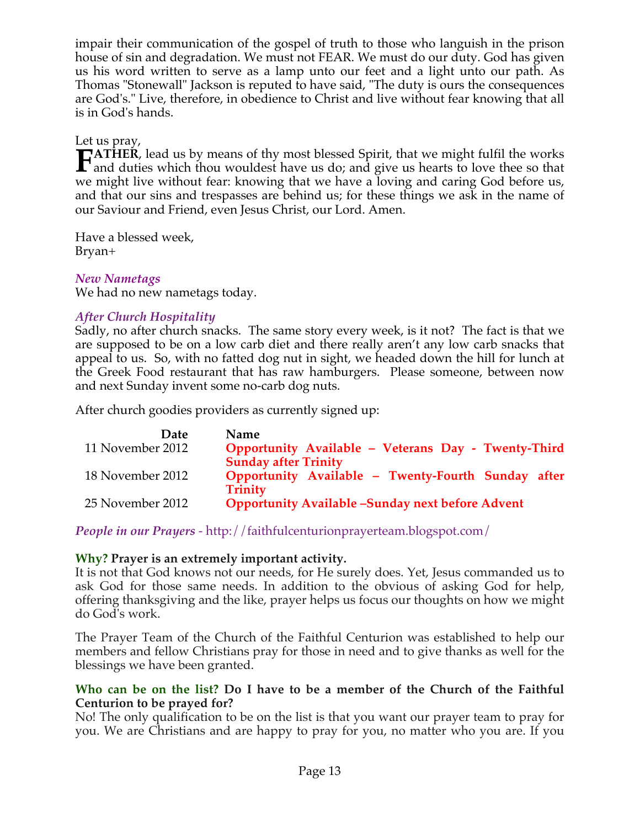impair their communication of the gospel of truth to those who languish in the prison house of sin and degradation. We must not FEAR. We must do our duty. God has given us his word written to serve as a lamp unto our feet and a light unto our path. As Thomas "Stonewall" Jackson is reputed to have said, "The duty is ours the consequences are God's." Live, therefore, in obedience to Christ and live without fear knowing that all is in God's hands.

Let us pray,

**TATHER**, lead us by means of thy most blessed Spirit, that we might fulfil the works **FATHER**, lead us by means of thy most blessed Spirit, that we might fulfil the works and duties which thou wouldest have us do; and give us hearts to love thee so that  $\frac{1}{2}$ we might live without fear: knowing that we have a loving and caring God before us, and that our sins and trespasses are behind us; for these things we ask in the name of our Saviour and Friend, even Jesus Christ, our Lord. Amen.

Have a blessed week, Bryan+

# *New Nametags*

We had no new nametags today.

# *After Church Hospitality*

Sadly, no after church snacks. The same story every week, is it not? The fact is that we are supposed to be on a low carb diet and there really aren't any low carb snacks that appeal to us. So, with no fatted dog nut in sight, we headed down the hill for lunch at the Greek Food restaurant that has raw hamburgers. Please someone, between now and next Sunday invent some no-carb dog nuts.

After church goodies providers as currently signed up:

| <b>Date</b>      | <b>Name</b>                                                                        |
|------------------|------------------------------------------------------------------------------------|
| 11 November 2012 | Opportunity Available - Veterans Day - Twenty-Third<br><b>Sunday after Trinity</b> |
| 18 November 2012 | Opportunity Available - Twenty-Fourth Sunday after<br><b>Trinity</b>               |
| 25 November 2012 | <b>Opportunity Available -Sunday next before Advent</b>                            |

*People in our Prayers* - http://faithfulcenturionprayerteam.blogspot.com/

# **Why? Prayer is an extremely important activity.**

It is not that God knows not our needs, for He surely does. Yet, Jesus commanded us to ask God for those same needs. In addition to the obvious of asking God for help, offering thanksgiving and the like, prayer helps us focus our thoughts on how we might do God's work.

The Prayer Team of the Church of the Faithful Centurion was established to help our members and fellow Christians pray for those in need and to give thanks as well for the blessings we have been granted.

### **Who can be on the list? Do I have to be a member of the Church of the Faithful Centurion to be prayed for?**

No! The only qualification to be on the list is that you want our prayer team to pray for you. We are Christians and are happy to pray for you, no matter who you are. If you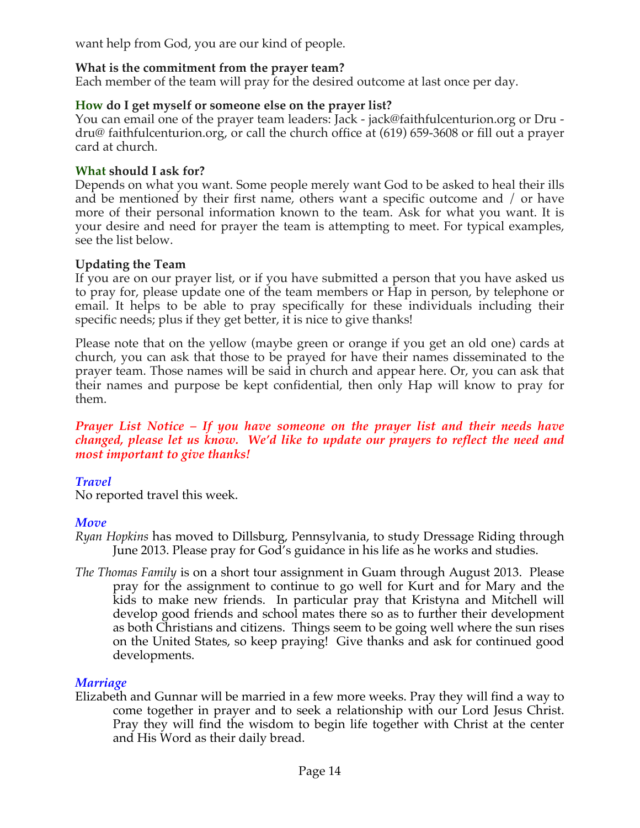want help from God, you are our kind of people.

# **What is the commitment from the prayer team?**

Each member of the team will pray for the desired outcome at last once per day.

### **How do I get myself or someone else on the prayer list?**

You can email one of the prayer team leaders: Jack - jack@faithfulcenturion.org or Dru dru@ faithfulcenturion.org, or call the church office at (619) 659-3608 or fill out a prayer card at church.

### **What should I ask for?**

Depends on what you want. Some people merely want God to be asked to heal their ills and be mentioned by their first name, others want a specific outcome and / or have more of their personal information known to the team. Ask for what you want. It is your desire and need for prayer the team is attempting to meet. For typical examples, see the list below.

### **Updating the Team**

If you are on our prayer list, or if you have submitted a person that you have asked us to pray for, please update one of the team members or Hap in person, by telephone or email. It helps to be able to pray specifically for these individuals including their specific needs; plus if they get better, it is nice to give thanks!

Please note that on the yellow (maybe green or orange if you get an old one) cards at church, you can ask that those to be prayed for have their names disseminated to the prayer team. Those names will be said in church and appear here. Or, you can ask that their names and purpose be kept confidential, then only Hap will know to pray for them.

#### *Prayer List Notice – If you have someone on the prayer list and their needs have changed, please let us know. We'd like to update our prayers to reflect the need and most important to give thanks!*

# *Travel*

No reported travel this week.

# *Move*

- *Ryan Hopkins* has moved to Dillsburg, Pennsylvania, to study Dressage Riding through June 2013. Please pray for God's guidance in his life as he works and studies.
- *The Thomas Family* is on a short tour assignment in Guam through August 2013. Please pray for the assignment to continue to go well for Kurt and for Mary and the kids to make new friends. In particular pray that Kristyna and Mitchell will develop good friends and school mates there so as to further their development as both Christians and citizens. Things seem to be going well where the sun rises on the United States, so keep praying! Give thanks and ask for continued good developments.

# *Marriage*

Elizabeth and Gunnar will be married in a few more weeks. Pray they will find a way to come together in prayer and to seek a relationship with our Lord Jesus Christ. Pray they will find the wisdom to begin life together with Christ at the center and His Word as their daily bread.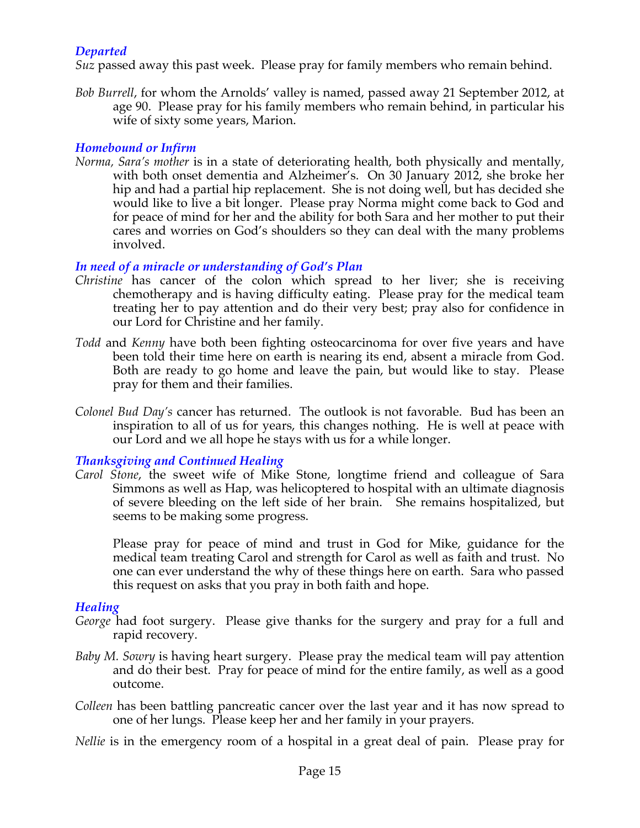# *Departed*

*Suz* passed away this past week. Please pray for family members who remain behind.

*Bob Burrell*, for whom the Arnolds' valley is named, passed away 21 September 2012, at age 90. Please pray for his family members who remain behind, in particular his wife of sixty some years, Marion.

### *Homebound or Infirm*

*Norma, Sara's mother* is in a state of deteriorating health, both physically and mentally, with both onset dementia and Alzheimer's. On 30 January 2012, she broke her hip and had a partial hip replacement. She is not doing well, but has decided she would like to live a bit longer. Please pray Norma might come back to God and for peace of mind for her and the ability for both Sara and her mother to put their cares and worries on God's shoulders so they can deal with the many problems involved.

# *In need of a miracle or understanding of God's Plan*

- *Christine* has cancer of the colon which spread to her liver; she is receiving chemotherapy and is having difficulty eating. Please pray for the medical team treating her to pay attention and do their very best; pray also for confidence in our Lord for Christine and her family.
- *Todd* and *Kenny* have both been fighting osteocarcinoma for over five years and have been told their time here on earth is nearing its end, absent a miracle from God. Both are ready to go home and leave the pain, but would like to stay. Please pray for them and their families.
- *Colonel Bud Day's* cancer has returned. The outlook is not favorable. Bud has been an inspiration to all of us for years, this changes nothing. He is well at peace with our Lord and we all hope he stays with us for a while longer.

# *Thanksgiving and Continued Healing*

*Carol Stone*, the sweet wife of Mike Stone, longtime friend and colleague of Sara Simmons as well as Hap, was helicoptered to hospital with an ultimate diagnosis of severe bleeding on the left side of her brain. She remains hospitalized, but seems to be making some progress.

Please pray for peace of mind and trust in God for Mike, guidance for the medical team treating Carol and strength for Carol as well as faith and trust. No one can ever understand the why of these things here on earth. Sara who passed this request on asks that you pray in both faith and hope.

# *Healing*

- *George* had foot surgery. Please give thanks for the surgery and pray for a full and rapid recovery.
- *Baby M. Sowry* is having heart surgery. Please pray the medical team will pay attention and do their best. Pray for peace of mind for the entire family, as well as a good outcome.
- *Colleen* has been battling pancreatic cancer over the last year and it has now spread to one of her lungs. Please keep her and her family in your prayers.
- *Nellie* is in the emergency room of a hospital in a great deal of pain. Please pray for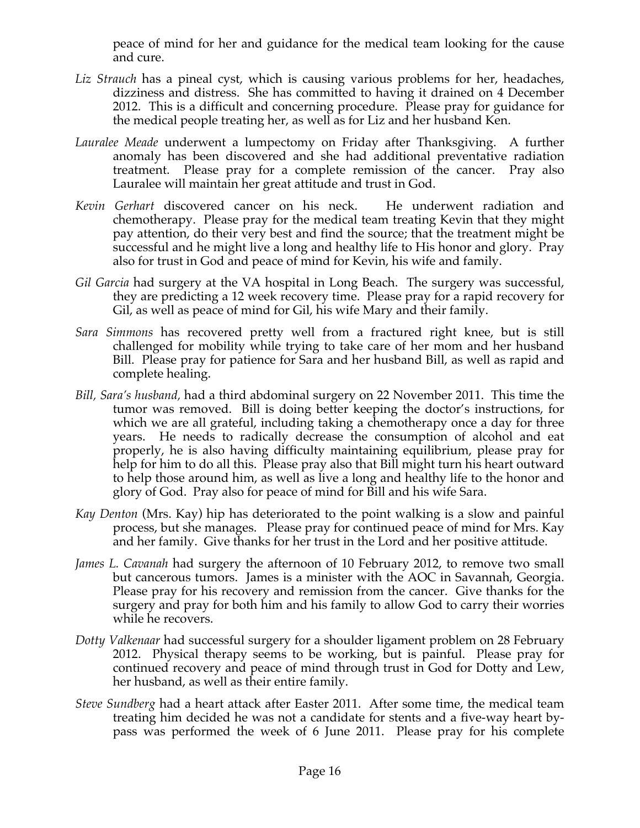peace of mind for her and guidance for the medical team looking for the cause and cure.

- Liz *Strauch* has a pineal cyst, which is causing various problems for her, headaches, dizziness and distress. She has committed to having it drained on 4 December 2012. This is a difficult and concerning procedure. Please pray for guidance for the medical people treating her, as well as for Liz and her husband Ken.
- *Lauralee Meade* underwent a lumpectomy on Friday after Thanksgiving. A further anomaly has been discovered and she had additional preventative radiation treatment. Please pray for a complete remission of the cancer. Pray also Lauralee will maintain her great attitude and trust in God.
- *Kevin Gerhart* discovered cancer on his neck. He underwent radiation and chemotherapy. Please pray for the medical team treating Kevin that they might pay attention, do their very best and find the source; that the treatment might be successful and he might live a long and healthy life to His honor and glory. Pray also for trust in God and peace of mind for Kevin, his wife and family.
- *Gil Garcia* had surgery at the VA hospital in Long Beach. The surgery was successful, they are predicting a 12 week recovery time. Please pray for a rapid recovery for Gil, as well as peace of mind for Gil, his wife Mary and their family.
- *Sara Simmons* has recovered pretty well from a fractured right knee, but is still challenged for mobility while trying to take care of her mom and her husband Bill. Please pray for patience for Sara and her husband Bill, as well as rapid and complete healing.
- *Bill, Sara's husband,* had a third abdominal surgery on 22 November 2011. This time the tumor was removed. Bill is doing better keeping the doctor's instructions, for which we are all grateful, including taking a chemotherapy once a day for three years. He needs to radically decrease the consumption of alcohol and eat properly, he is also having difficulty maintaining equilibrium, please pray for help for him to do all this. Please pray also that Bill might turn his heart outward to help those around him, as well as live a long and healthy life to the honor and glory of God. Pray also for peace of mind for Bill and his wife Sara.
- *Kay Denton* (Mrs. Kay) hip has deteriorated to the point walking is a slow and painful process, but she manages. Please pray for continued peace of mind for Mrs. Kay and her family. Give thanks for her trust in the Lord and her positive attitude.
- *James L. Cavanah* had surgery the afternoon of 10 February 2012, to remove two small but cancerous tumors. James is a minister with the AOC in Savannah, Georgia. Please pray for his recovery and remission from the cancer. Give thanks for the surgery and pray for both him and his family to allow God to carry their worries while he recovers.
- *Dotty Valkenaar* had successful surgery for a shoulder ligament problem on 28 February 2012. Physical therapy seems to be working, but is painful. Please pray for continued recovery and peace of mind through trust in God for Dotty and Lew, her husband, as well as their entire family.
- *Steve Sundberg* had a heart attack after Easter 2011. After some time, the medical team treating him decided he was not a candidate for stents and a five-way heart bypass was performed the week of 6 June 2011. Please pray for his complete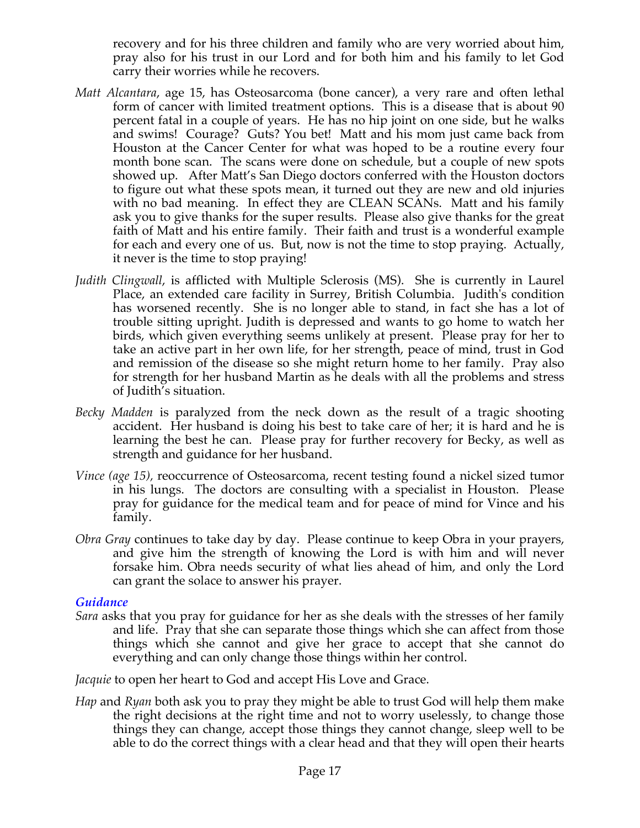recovery and for his three children and family who are very worried about him, pray also for his trust in our Lord and for both him and his family to let God carry their worries while he recovers.

- *Matt Alcantara*, age 15, has Osteosarcoma (bone cancer), a very rare and often lethal form of cancer with limited treatment options. This is a disease that is about 90 percent fatal in a couple of years. He has no hip joint on one side, but he walks and swims! Courage? Guts? You bet! Matt and his mom just came back from Houston at the Cancer Center for what was hoped to be a routine every four month bone scan. The scans were done on schedule, but a couple of new spots showed up. After Matt's San Diego doctors conferred with the Houston doctors to figure out what these spots mean, it turned out they are new and old injuries with no bad meaning. In effect they are CLEAN SCANs. Matt and his family ask you to give thanks for the super results. Please also give thanks for the great faith of Matt and his entire family. Their faith and trust is a wonderful example for each and every one of us. But, now is not the time to stop praying. Actually, it never is the time to stop praying!
- *Judith Clingwall*, is afflicted with Multiple Sclerosis (MS). She is currently in Laurel Place, an extended care facility in Surrey, British Columbia. Judith's condition has worsened recently. She is no longer able to stand, in fact she has a lot of trouble sitting upright. Judith is depressed and wants to go home to watch her birds, which given everything seems unlikely at present. Please pray for her to take an active part in her own life, for her strength, peace of mind, trust in God and remission of the disease so she might return home to her family. Pray also for strength for her husband Martin as he deals with all the problems and stress of Judith's situation.
- *Becky Madden* is paralyzed from the neck down as the result of a tragic shooting accident. Her husband is doing his best to take care of her; it is hard and he is learning the best he can. Please pray for further recovery for Becky, as well as strength and guidance for her husband.
- *Vince (age 15),* reoccurrence of Osteosarcoma, recent testing found a nickel sized tumor in his lungs. The doctors are consulting with a specialist in Houston. Please pray for guidance for the medical team and for peace of mind for Vince and his family.
- *Obra Gray* continues to take day by day. Please continue to keep Obra in your prayers, and give him the strength of knowing the Lord is with him and will never forsake him. Obra needs security of what lies ahead of him, and only the Lord can grant the solace to answer his prayer.

### *Guidance*

*Sara* asks that you pray for guidance for her as she deals with the stresses of her family and life. Pray that she can separate those things which she can affect from those things which she cannot and give her grace to accept that she cannot do everything and can only change those things within her control.

*Jacquie* to open her heart to God and accept His Love and Grace.

*Hap* and *Ryan* both ask you to pray they might be able to trust God will help them make the right decisions at the right time and not to worry uselessly, to change those things they can change, accept those things they cannot change, sleep well to be able to do the correct things with a clear head and that they will open their hearts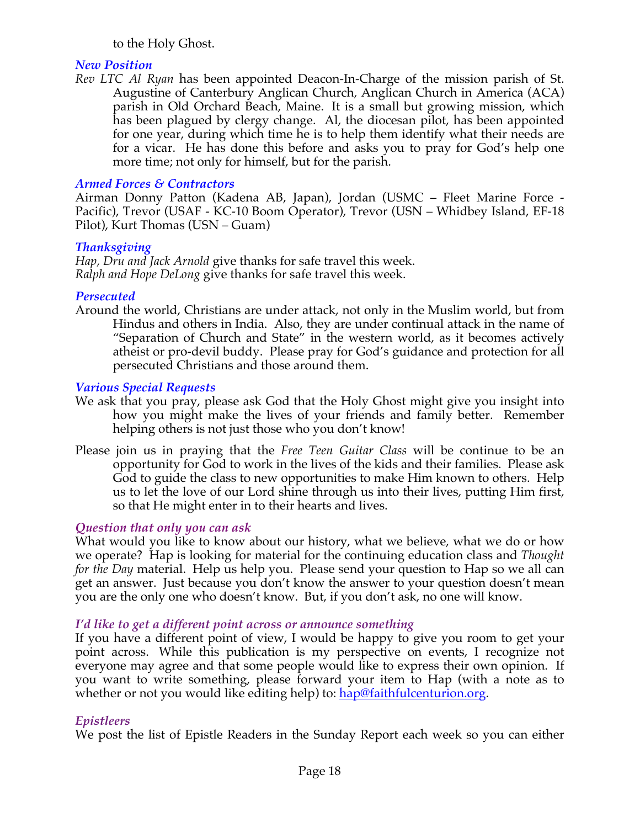### to the Holy Ghost.

### *New Position*

*Rev LTC Al Ryan* has been appointed Deacon-In-Charge of the mission parish of St. Augustine of Canterbury Anglican Church, Anglican Church in America (ACA) parish in Old Orchard Beach, Maine. It is a small but growing mission, which has been plagued by clergy change. Al, the diocesan pilot, has been appointed for one year, during which time he is to help them identify what their needs are for a vicar. He has done this before and asks you to pray for God's help one more time; not only for himself, but for the parish.

# *Armed Forces & Contractors*

Airman Donny Patton (Kadena AB, Japan), Jordan (USMC – Fleet Marine Force - Pacific), Trevor (USAF - KC-10 Boom Operator), Trevor (USN – Whidbey Island, EF-18 Pilot), Kurt Thomas (USN – Guam)

### *Thanksgiving*

*Hap, Dru and Jack Arnold* give thanks for safe travel this week. *Ralph and Hope DeLong* give thanks for safe travel this week.

### *Persecuted*

Around the world, Christians are under attack, not only in the Muslim world, but from Hindus and others in India. Also, they are under continual attack in the name of "Separation of Church and State" in the western world, as it becomes actively atheist or pro-devil buddy. Please pray for God's guidance and protection for all persecuted Christians and those around them.

### *Various Special Requests*

- We ask that you pray, please ask God that the Holy Ghost might give you insight into how you might make the lives of your friends and family better. Remember helping others is not just those who you don't know!
- Please join us in praying that the *Free Teen Guitar Class* will be continue to be an opportunity for God to work in the lives of the kids and their families. Please ask God to guide the class to new opportunities to make Him known to others. Help us to let the love of our Lord shine through us into their lives, putting Him first, so that He might enter in to their hearts and lives.

### *Question that only you can ask*

What would you like to know about our history, what we believe, what we do or how we operate? Hap is looking for material for the continuing education class and *Thought for the Day* material. Help us help you. Please send your question to Hap so we all can get an answer. Just because you don't know the answer to your question doesn't mean you are the only one who doesn't know. But, if you don't ask, no one will know.

### *I'd like to get a different point across or announce something*

If you have a different point of view, I would be happy to give you room to get your point across. While this publication is my perspective on events, I recognize not everyone may agree and that some people would like to express their own opinion. If you want to write something, please forward your item to Hap (with a note as to whether or not you would like editing help) to: hap@faithfulcenturion.org.

# *Epistleers*

We post the list of Epistle Readers in the Sunday Report each week so you can either